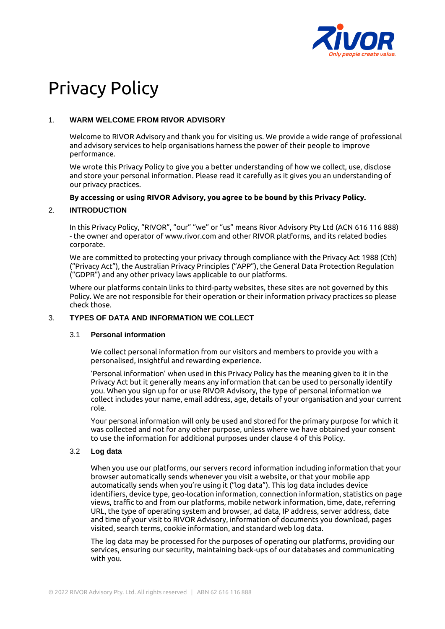

# Privacy Policy

## 1. **WARM WELCOME FROM RIVOR ADVISORY**

Welcome to RIVOR Advisory and thank you for visiting us. We provide a wide range of professional and advisory services to help organisations harness the power of their people to improve performance.

We wrote this Privacy Policy to give you a better understanding of how we collect, use, disclose and store your personal information. Please read it carefully as it gives you an understanding of our privacy practices.

#### **By accessing or using RIVOR Advisory, you agree to be bound by this Privacy Policy.**

## 2. **INTRODUCTION**

In this Privacy Policy, "RIVOR", "our" "we" or "us" means Rivor Advisory Pty Ltd (ACN 616 116 888) - the owner and operator of www.rivor.com and other RIVOR platforms, and its related bodies corporate.

We are committed to protecting your privacy through compliance with the Privacy Act 1988 (Cth) ("Privacy Act"), the Australian Privacy Principles ("APP"), the General Data Protection Regulation ("GDPR") and any other privacy laws applicable to our platforms.

Where our platforms contain links to third-party websites, these sites are not governed by this Policy. We are not responsible for their operation or their information privacy practices so please check those.

#### 3. **TYPES OF DATA AND INFORMATION WE COLLECT**

#### 3.1 **Personal information**

We collect personal information from our visitors and members to provide you with a personalised, insightful and rewarding experience.

'Personal information' when used in this Privacy Policy has the meaning given to it in the Privacy Act but it generally means any information that can be used to personally identify you. When you sign up for or use RIVOR Advisory, the type of personal information we collect includes your name, email address, age, details of your organisation and your current role.

Your personal information will only be used and stored for the primary purpose for which it was collected and not for any other purpose, unless where we have obtained your consent to use the information for additional purposes under clause 4 of this Policy.

## 3.2 **Log data**

When you use our platforms, our servers record information including information that your browser automatically sends whenever you visit a website, or that your mobile app automatically sends when you're using it ("log data"). This log data includes device identifiers, device type, geo-location information, connection information, statistics on page views, traffic to and from our platforms, mobile network information, time, date, referring URL, the type of operating system and browser, ad data, IP address, server address, date and time of your visit to RIVOR Advisory, information of documents you download, pages visited, search terms, cookie information, and standard web log data.

The log data may be processed for the purposes of operating our platforms, providing our services, ensuring our security, maintaining back-ups of our databases and communicating with you.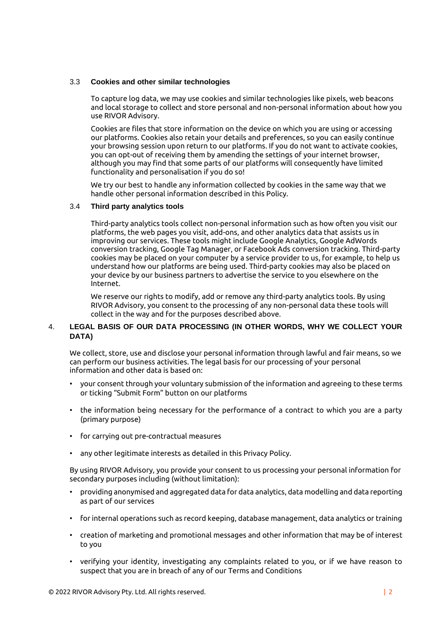#### 3.3 **Cookies and other similar technologies**

To capture log data, we may use cookies and similar technologies like pixels, web beacons and local storage to collect and store personal and non-personal information about how you use RIVOR Advisory.

Cookies are files that store information on the device on which you are using or accessing our platforms. Cookies also retain your details and preferences, so you can easily continue your browsing session upon return to our platforms. If you do not want to activate cookies, you can opt-out of receiving them by amending the settings of your internet browser, although you may find that some parts of our platforms will consequently have limited functionality and personalisation if you do so!

We try our best to handle any information collected by cookies in the same way that we handle other personal information described in this Policy.

#### 3.4 **Third party analytics tools**

Third-party analytics tools collect non-personal information such as how often you visit our platforms, the web pages you visit, add-ons, and other analytics data that assists us in improving our services. These tools might include Google Analytics, Google AdWords conversion tracking, Google Tag Manager, or Facebook Ads conversion tracking. Third-party cookies may be placed on your computer by a service provider to us, for example, to help us understand how our platforms are being used. Third-party cookies may also be placed on your device by our business partners to advertise the service to you elsewhere on the Internet.

We reserve our rights to modify, add or remove any third-party analytics tools. By using RIVOR Advisory, you consent to the processing of any non-personal data these tools will collect in the way and for the purposes described above.

## 4. **LEGAL BASIS OF OUR DATA PROCESSING (IN OTHER WORDS, WHY WE COLLECT YOUR DATA)**

We collect, store, use and disclose your personal information through lawful and fair means, so we can perform our business activities. The legal basis for our processing of your personal information and other data is based on:

- your consent through your voluntary submission of the information and agreeing to these terms or ticking "Submit Form" button on our platforms
- the information being necessary for the performance of a contract to which you are a party (primary purpose)
- for carrying out pre-contractual measures
- any other legitimate interests as detailed in this Privacy Policy.

By using RIVOR Advisory, you provide your consent to us processing your personal information for secondary purposes including (without limitation):

- providing anonymised and aggregated data for data analytics, data modelling and data reporting as part of our services
- for internal operations such as record keeping, database management, data analytics or training
- creation of marketing and promotional messages and other information that may be of interest to you
- verifying your identity, investigating any complaints related to you, or if we have reason to suspect that you are in breach of any of our Terms and Conditions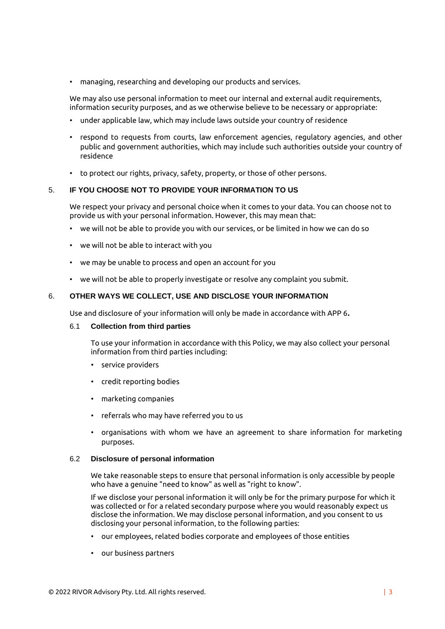• managing, researching and developing our products and services.

We may also use personal information to meet our internal and external audit requirements. information security purposes, and as we otherwise believe to be necessary or appropriate:

- under applicable law, which may include laws outside your country of residence
- respond to requests from courts, law enforcement agencies, regulatory agencies, and other public and government authorities, which may include such authorities outside your country of residence
- to protect our rights, privacy, safety, property, or those of other persons.

#### 5. **IF YOU CHOOSE NOT TO PROVIDE YOUR INFORMATION TO US**

We respect your privacy and personal choice when it comes to your data. You can choose not to provide us with your personal information. However, this may mean that:

- we will not be able to provide you with our services, or be limited in how we can do so
- we will not be able to interact with you
- we may be unable to process and open an account for you
- we will not be able to properly investigate or resolve any complaint you submit.

## 6. **OTHER WAYS WE COLLECT, USE AND DISCLOSE YOUR INFORMATION**

Use and disclosure of your information will only be made in accordance with APP 6**.**

#### 6.1 **Collection from third parties**

To use your information in accordance with this Policy, we may also collect your personal information from third parties including:

- service providers
- credit reporting bodies
- marketing companies
- referrals who may have referred you to us
- organisations with whom we have an agreement to share information for marketing purposes.

#### 6.2 **Disclosure of personal information**

We take reasonable steps to ensure that personal information is only accessible by people who have a genuine "need to know" as well as "right to know".

If we disclose your personal information it will only be for the primary purpose for which it was collected or for a related secondary purpose where you would reasonably expect us disclose the information. We may disclose personal information, and you consent to us disclosing your personal information, to the following parties:

- our employees, related bodies corporate and employees of those entities
- our business partners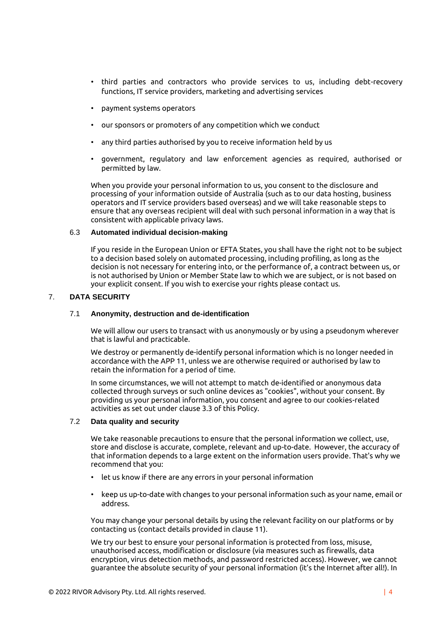- third parties and contractors who provide services to us, including debt-recovery functions, IT service providers, marketing and advertising services
- payment systems operators
- our sponsors or promoters of any competition which we conduct
- any third parties authorised by you to receive information held by us
- government, regulatory and law enforcement agencies as required, authorised or permitted by law.

When you provide your personal information to us, you consent to the disclosure and processing of your information outside of Australia (such as to our data hosting, business operators and IT service providers based overseas) and we will take reasonable steps to ensure that any overseas recipient will deal with such personal information in a way that is consistent with applicable privacy laws.

#### 6.3 **Automated individual decision-making**

If you reside in the European Union or EFTA States, you shall have the right not to be subject to a decision based solely on automated processing, including profiling, as long as the decision is not necessary for entering into, or the performance of, a contract between us, or is not authorised by Union or Member State law to which we are subject, or is not based on your explicit consent. If you wish to exercise your rights please contact us.

## 7. **DATA SECURITY**

#### 7.1 **Anonymity, destruction and de-identification**

We will allow our users to transact with us anonymously or by using a pseudonym wherever that is lawful and practicable.

We destroy or permanently de-identify personal information which is no longer needed in accordance with the APP 11, unless we are otherwise required or authorised by law to retain the information for a period of time.

In some circumstances, we will not attempt to match de-identified or anonymous data collected through surveys or such online devices as "cookies", without your consent. By providing us your personal information, you consent and agree to our cookies-related activities as set out under clause 3.3 of this Policy.

## 7.2 **Data quality and security**

We take reasonable precautions to ensure that the personal information we collect, use, store and disclose is accurate, complete, relevant and up-to-date. However, the accuracy of that information depends to a large extent on the information users provide. That's why we recommend that you:

- let us know if there are any errors in your personal information
- keep us up-to-date with changes to your personal information such as your name, email or address.

You may change your personal details by using the relevant facility on our platforms or by contacting us (contact details provided in clause 11).

We try our best to ensure your personal information is protected from loss, misuse, unauthorised access, modification or disclosure (via measures such as firewalls, data encryption, virus detection methods, and password restricted access). However, we cannot guarantee the absolute security of your personal information (it's the Internet after all!). In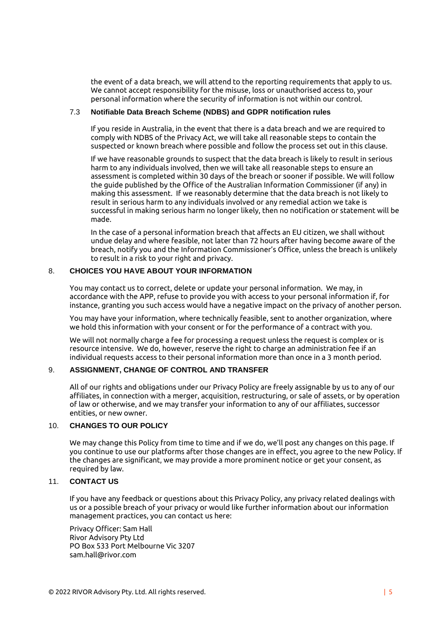the event of a data breach, we will attend to the reporting requirements that apply to us. We cannot accept responsibility for the misuse, loss or unauthorised access to, your personal information where the security of information is not within our control.

#### 7.3 **Notifiable Data Breach Scheme (NDBS) and GDPR notification rules**

If you reside in Australia, in the event that there is a data breach and we are required to comply with NDBS of the Privacy Act, we will take all reasonable steps to contain the suspected or known breach where possible and follow the process set out in this clause.

If we have reasonable grounds to suspect that the data breach is likely to result in serious harm to any individuals involved, then we will take all reasonable steps to ensure an assessment is completed within 30 days of the breach or sooner if possible. We will follow the guide published by the Office of the Australian Information Commissioner (if any) in making this assessment. If we reasonably determine that the data breach is not likely to result in serious harm to any individuals involved or any remedial action we take is successful in making serious harm no longer likely, then no notification or statement will be made.

In the case of a personal information breach that affects an EU citizen, we shall without undue delay and where feasible, not later than 72 hours after having become aware of the breach, notify you and the Information Commissioner's Office, unless the breach is unlikely to result in a risk to your right and privacy.

## 8. **CHOICES YOU HAVE ABOUT YOUR INFORMATION**

You may contact us to correct, delete or update your personal information. We may, in accordance with the APP, refuse to provide you with access to your personal information if, for instance, granting you such access would have a negative impact on the privacy of another person.

You may have your information, where technically feasible, sent to another organization, where we hold this information with your consent or for the performance of a contract with you.

We will not normally charge a fee for processing a request unless the request is complex or is resource intensive. We do, however, reserve the right to charge an administration fee if an individual requests access to their personal information more than once in a 3 month period.

## 9. **ASSIGNMENT, CHANGE OF CONTROL AND TRANSFER**

All of our rights and obligations under our Privacy Policy are freely assignable by us to any of our affiliates, in connection with a merger, acquisition, restructuring, or sale of assets, or by operation of law or otherwise, and we may transfer your information to any of our affiliates, successor entities, or new owner.

#### 10. **CHANGES TO OUR POLICY**

We may change this Policy from time to time and if we do, we'll post any changes on this page. If you continue to use our platforms after those changes are in effect, you agree to the new Policy. If the changes are significant, we may provide a more prominent notice or get your consent, as required by law.

## 11. **CONTACT US**

If you have any feedback or questions about this Privacy Policy, any privacy related dealings with us or a possible breach of your privacy or would like further information about our information management practices, you can contact us here:

Privacy Officer: Sam Hall Rivor Advisory Pty Ltd PO Box 533 Port Melbourne Vic 3207 sam.hall@rivor.com